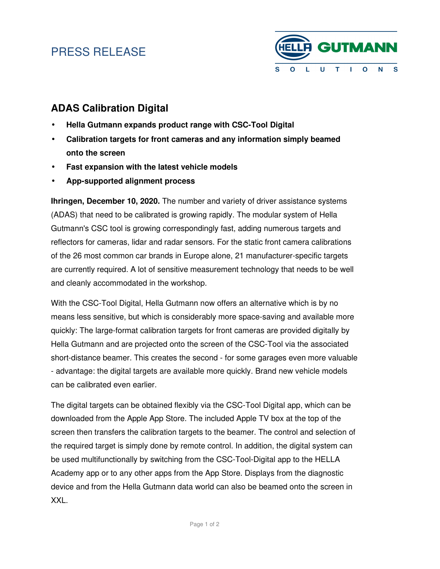## PRESS RELEASE



### **ADAS Calibration Digital**

- **Hella Gutmann expands product range with CSC-Tool Digital**
- **Calibration targets for front cameras and any information simply beamed onto the screen**
- **Fast expansion with the latest vehicle models**
- **App-supported alignment process**

**Ihringen, December 10, 2020.** The number and variety of driver assistance systems (ADAS) that need to be calibrated is growing rapidly. The modular system of Hella Gutmann's CSC tool is growing correspondingly fast, adding numerous targets and reflectors for cameras, lidar and radar sensors. For the static front camera calibrations of the 26 most common car brands in Europe alone, 21 manufacturer-specific targets are currently required. A lot of sensitive measurement technology that needs to be well and cleanly accommodated in the workshop.

With the CSC-Tool Digital, Hella Gutmann now offers an alternative which is by no means less sensitive, but which is considerably more space-saving and available more quickly: The large-format calibration targets for front cameras are provided digitally by Hella Gutmann and are projected onto the screen of the CSC-Tool via the associated short-distance beamer. This creates the second - for some garages even more valuable - advantage: the digital targets are available more quickly. Brand new vehicle models can be calibrated even earlier.

The digital targets can be obtained flexibly via the CSC-Tool Digital app, which can be downloaded from the Apple App Store. The included Apple TV box at the top of the screen then transfers the calibration targets to the beamer. The control and selection of the required target is simply done by remote control. In addition, the digital system can be used multifunctionally by switching from the CSC-Tool-Digital app to the HELLA Academy app or to any other apps from the App Store. Displays from the diagnostic device and from the Hella Gutmann data world can also be beamed onto the screen in XXL.